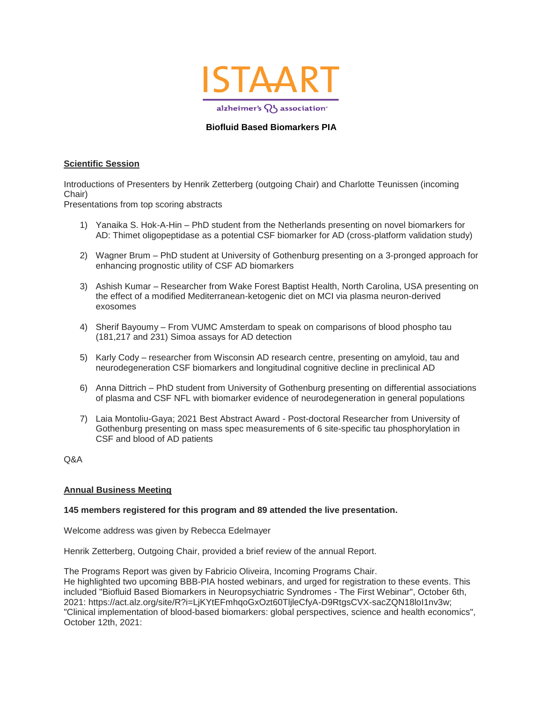

## **Biofluid Based Biomarkers PIA**

### **Scientific Session**

Introductions of Presenters by Henrik Zetterberg (outgoing Chair) and Charlotte Teunissen (incoming Chair)

Presentations from top scoring abstracts

- 1) Yanaika S. Hok-A-Hin PhD student from the Netherlands presenting on novel biomarkers for AD: Thimet oligopeptidase as a potential CSF biomarker for AD (cross-platform validation study)
- 2) Wagner Brum PhD student at University of Gothenburg presenting on a 3-pronged approach for enhancing prognostic utility of CSF AD biomarkers
- 3) Ashish Kumar Researcher from Wake Forest Baptist Health, North Carolina, USA presenting on the effect of a modified Mediterranean-ketogenic diet on MCI via plasma neuron-derived exosomes
- 4) Sherif Bayoumy From VUMC Amsterdam to speak on comparisons of blood phospho tau (181,217 and 231) Simoa assays for AD detection
- 5) Karly Cody researcher from Wisconsin AD research centre, presenting on amyloid, tau and neurodegeneration CSF biomarkers and longitudinal cognitive decline in preclinical AD
- 6) Anna Dittrich PhD student from University of Gothenburg presenting on differential associations of plasma and CSF NFL with biomarker evidence of neurodegeneration in general populations
- 7) Laia Montoliu-Gaya; 2021 Best Abstract Award Post-doctoral Researcher from University of Gothenburg presenting on mass spec measurements of 6 site-specific tau phosphorylation in CSF and blood of AD patients

Q&A

#### **Annual Business Meeting**

#### **145 members registered for this program and 89 attended the live presentation.**

Welcome address was given by Rebecca Edelmayer

Henrik Zetterberg, Outgoing Chair, provided a brief review of the annual Report.

The Programs Report was given by Fabricio Oliveira, Incoming Programs Chair. He highlighted two upcoming BBB-PIA hosted webinars, and urged for registration to these events. This included "Biofluid Based Biomarkers in Neuropsychiatric Syndromes - The First Webinar", October 6th, 2021: https://act.alz.org/site/R?i=LjKYtEFmhqoGxOzt60TljleCfyA-D9RtgsCVX-sacZQN18loI1nv3w; "Clinical implementation of blood-based biomarkers: global perspectives, science and health economics", October 12th, 2021: